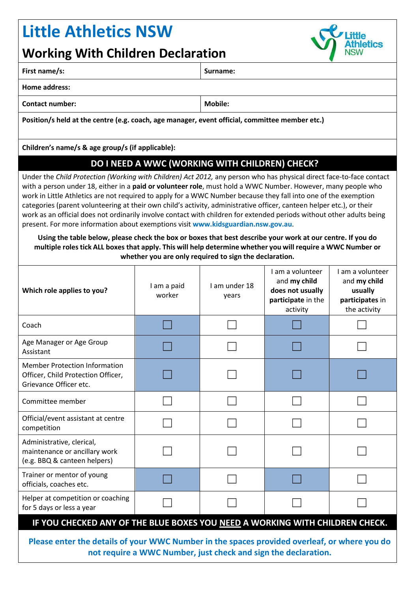## **Little Athletics NSW**

## **Working With Children Declaration**

| <b>WORKING WITH CHILDER DECISEBION</b><br><b>INOVV</b>                                                                                                                                                                                                                                                                                                                                                                                                                                                                                                                                                                                                                                         |                |  |  |  |  |
|------------------------------------------------------------------------------------------------------------------------------------------------------------------------------------------------------------------------------------------------------------------------------------------------------------------------------------------------------------------------------------------------------------------------------------------------------------------------------------------------------------------------------------------------------------------------------------------------------------------------------------------------------------------------------------------------|----------------|--|--|--|--|
| First name/s:                                                                                                                                                                                                                                                                                                                                                                                                                                                                                                                                                                                                                                                                                  | Surname:       |  |  |  |  |
| <b>Home address:</b>                                                                                                                                                                                                                                                                                                                                                                                                                                                                                                                                                                                                                                                                           |                |  |  |  |  |
| <b>Contact number:</b>                                                                                                                                                                                                                                                                                                                                                                                                                                                                                                                                                                                                                                                                         | <b>Mobile:</b> |  |  |  |  |
| Position/s held at the centre (e.g. coach, age manager, event official, committee member etc.)                                                                                                                                                                                                                                                                                                                                                                                                                                                                                                                                                                                                 |                |  |  |  |  |
| Children's name/s & age group/s (if applicable):                                                                                                                                                                                                                                                                                                                                                                                                                                                                                                                                                                                                                                               |                |  |  |  |  |
| DO I NEED A WWC (WORKING WITH CHILDREN) CHECK?                                                                                                                                                                                                                                                                                                                                                                                                                                                                                                                                                                                                                                                 |                |  |  |  |  |
| Under the Child Protection (Working with Children) Act 2012, any person who has physical direct face-to-face contact<br>with a person under 18, either in a paid or volunteer role, must hold a WWC Number. However, many people who<br>work in Little Athletics are not required to apply for a WWC Number because they fall into one of the exemption<br>categories (parent volunteering at their own child's activity, administrative officer, canteen helper etc.), or their<br>work as an official does not ordinarily involve contact with children for extended periods without other adults being<br>present. For more information about exemptions visit www.kidsguardian.nsw.gov.au. |                |  |  |  |  |
| Using the table below, please check the box or boxes that best describe your work at our centre. If you do<br>multiple roles tick ALL boxes that apply. This will help determine whether you will require a WWC Number or<br>whether you are only required to sign the declaration.                                                                                                                                                                                                                                                                                                                                                                                                            |                |  |  |  |  |

letics

| Which role applies to you?                                                                                      | I am a paid<br>worker | I am under 18<br>years | I am a volunteer<br>and my child<br>does not usually<br>participate in the<br>activity | I am a volunteer<br>and my child<br>usually<br>participates in<br>the activity |  |  |
|-----------------------------------------------------------------------------------------------------------------|-----------------------|------------------------|----------------------------------------------------------------------------------------|--------------------------------------------------------------------------------|--|--|
| Coach                                                                                                           |                       |                        |                                                                                        |                                                                                |  |  |
| Age Manager or Age Group<br>Assistant                                                                           |                       |                        |                                                                                        |                                                                                |  |  |
| <b>Member Protection Information</b><br>Officer, Child Protection Officer,<br>Grievance Officer etc.            |                       |                        |                                                                                        |                                                                                |  |  |
| Committee member                                                                                                |                       |                        |                                                                                        |                                                                                |  |  |
| Official/event assistant at centre<br>competition                                                               |                       |                        |                                                                                        |                                                                                |  |  |
| Administrative, clerical,<br>maintenance or ancillary work<br>(e.g. BBQ & canteen helpers)                      |                       |                        |                                                                                        |                                                                                |  |  |
| Trainer or mentor of young<br>officials, coaches etc.                                                           |                       |                        |                                                                                        |                                                                                |  |  |
| Helper at competition or coaching<br>for 5 days or less a year                                                  |                       |                        |                                                                                        |                                                                                |  |  |
| IF YOU CHECKED ANY OF THE BLUE BOXES YOU NEED A WORKING WITH CHILDREN CHECK.                                    |                       |                        |                                                                                        |                                                                                |  |  |
| a a cheanglaicheadh a fhacha <b>innin n</b> iomhaicheach a cheanglaiche ann an cheanglaicheadh ann cheanglaiche |                       |                        |                                                                                        |                                                                                |  |  |

**Please enter the details of your WWC Number in the spaces provided overleaf, or where you do not require a WWC Number, just check and sign the declaration.**